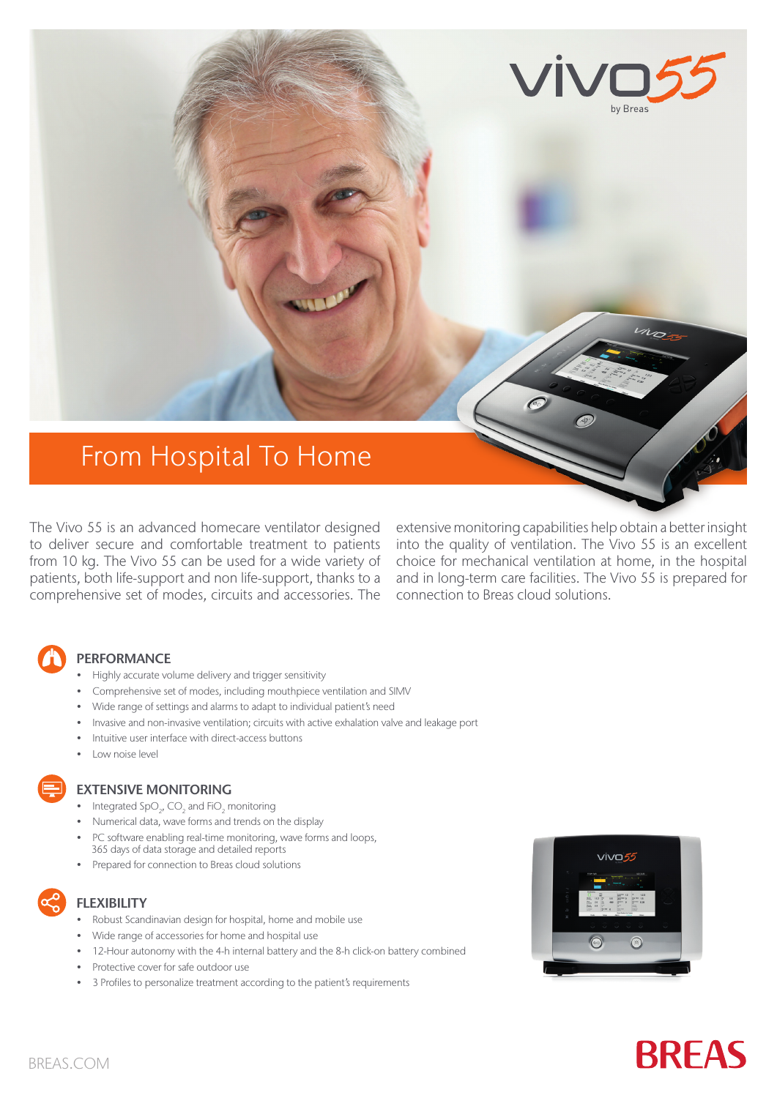

The Vivo 55 is an advanced homecare ventilator designed to deliver secure and comfortable treatment to patients from 10 kg. The Vivo 55 can be used for a wide variety of patients, both life-support and non life-support, thanks to a comprehensive set of modes, circuits and accessories. The

extensive monitoring capabilities help obtain a better insight into the quality of ventilation. The Vivo 55 is an excellent choice for mechanical ventilation at home, in the hospital and in long-term care facilities. The Vivo 55 is prepared for connection to Breas cloud solutions.

### **PERFORMANCE**

- Highly accurate volume delivery and trigger sensitivity
- Comprehensive set of modes, including mouthpiece ventilation and SIMV
- Wide range of settings and alarms to adapt to individual patient's need
- Invasive and non-invasive ventilation; circuits with active exhalation valve and leakage port
- Intuitive user interface with direct-access buttons
- Low noise level

#### EXTENSIVE MONITORING

- Integrated  $SpO<sub>2</sub>$ , CO<sub>2</sub> and FiO<sub>2</sub> monitoring
- Numerical data, wave forms and trends on the display
- PC software enabling real-time monitoring, wave forms and loops, 365 days of data storage and detailed reports
- Prepared for connection to Breas cloud solutions



### **FLEXIBILITY**

- Robust Scandinavian design for hospital, home and mobile use
- Wide range of accessories for home and hospital use
- 12-Hour autonomy with the 4-h internal battery and the 8-h click-on battery combined
- Protective cover for safe outdoor use
- 3 Profiles to personalize treatment according to the patient's requirements



# **BREAS**